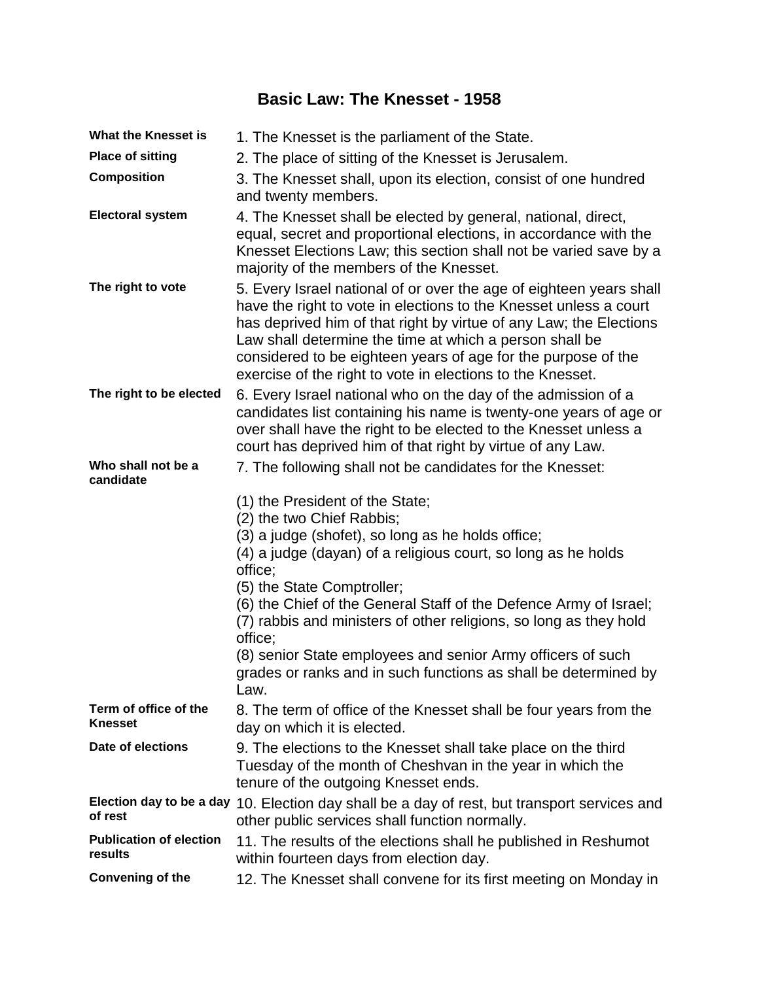# **Basic Law: The Knesset - 1958**

| <b>What the Knesset is</b>                | 1. The Knesset is the parliament of the State.                                                                                                                                                                                                                                                                                                                                                           |
|-------------------------------------------|----------------------------------------------------------------------------------------------------------------------------------------------------------------------------------------------------------------------------------------------------------------------------------------------------------------------------------------------------------------------------------------------------------|
| <b>Place of sitting</b>                   | 2. The place of sitting of the Knesset is Jerusalem.                                                                                                                                                                                                                                                                                                                                                     |
| <b>Composition</b>                        | 3. The Knesset shall, upon its election, consist of one hundred<br>and twenty members.                                                                                                                                                                                                                                                                                                                   |
| <b>Electoral system</b>                   | 4. The Knesset shall be elected by general, national, direct,<br>equal, secret and proportional elections, in accordance with the<br>Knesset Elections Law; this section shall not be varied save by a<br>majority of the members of the Knesset.                                                                                                                                                        |
| The right to vote                         | 5. Every Israel national of or over the age of eighteen years shall<br>have the right to vote in elections to the Knesset unless a court<br>has deprived him of that right by virtue of any Law; the Elections<br>Law shall determine the time at which a person shall be<br>considered to be eighteen years of age for the purpose of the<br>exercise of the right to vote in elections to the Knesset. |
| The right to be elected                   | 6. Every Israel national who on the day of the admission of a<br>candidates list containing his name is twenty-one years of age or<br>over shall have the right to be elected to the Knesset unless a<br>court has deprived him of that right by virtue of any Law.                                                                                                                                      |
| Who shall not be a<br>candidate           | 7. The following shall not be candidates for the Knesset:                                                                                                                                                                                                                                                                                                                                                |
|                                           | (1) the President of the State;                                                                                                                                                                                                                                                                                                                                                                          |
|                                           | (2) the two Chief Rabbis;<br>(3) a judge (shofet), so long as he holds office;                                                                                                                                                                                                                                                                                                                           |
|                                           | (4) a judge (dayan) of a religious court, so long as he holds<br>office;                                                                                                                                                                                                                                                                                                                                 |
|                                           | (5) the State Comptroller;                                                                                                                                                                                                                                                                                                                                                                               |
|                                           | (6) the Chief of the General Staff of the Defence Army of Israel;<br>(7) rabbis and ministers of other religions, so long as they hold                                                                                                                                                                                                                                                                   |
|                                           | office;<br>(8) senior State employees and senior Army officers of such<br>grades or ranks and in such functions as shall be determined by<br>Law.                                                                                                                                                                                                                                                        |
| Term of office of the<br>Knesset          | 8. The term of office of the Knesset shall be four years from the<br>day on which it is elected.                                                                                                                                                                                                                                                                                                         |
| Date of elections                         | 9. The elections to the Knesset shall take place on the third<br>Tuesday of the month of Cheshvan in the year in which the<br>tenure of the outgoing Knesset ends.                                                                                                                                                                                                                                       |
| of rest                                   | Election day to be a day 10. Election day shall be a day of rest, but transport services and<br>other public services shall function normally.                                                                                                                                                                                                                                                           |
| <b>Publication of election</b><br>results | 11. The results of the elections shall he published in Reshumot<br>within fourteen days from election day.                                                                                                                                                                                                                                                                                               |
| Convening of the                          | 12. The Knesset shall convene for its first meeting on Monday in                                                                                                                                                                                                                                                                                                                                         |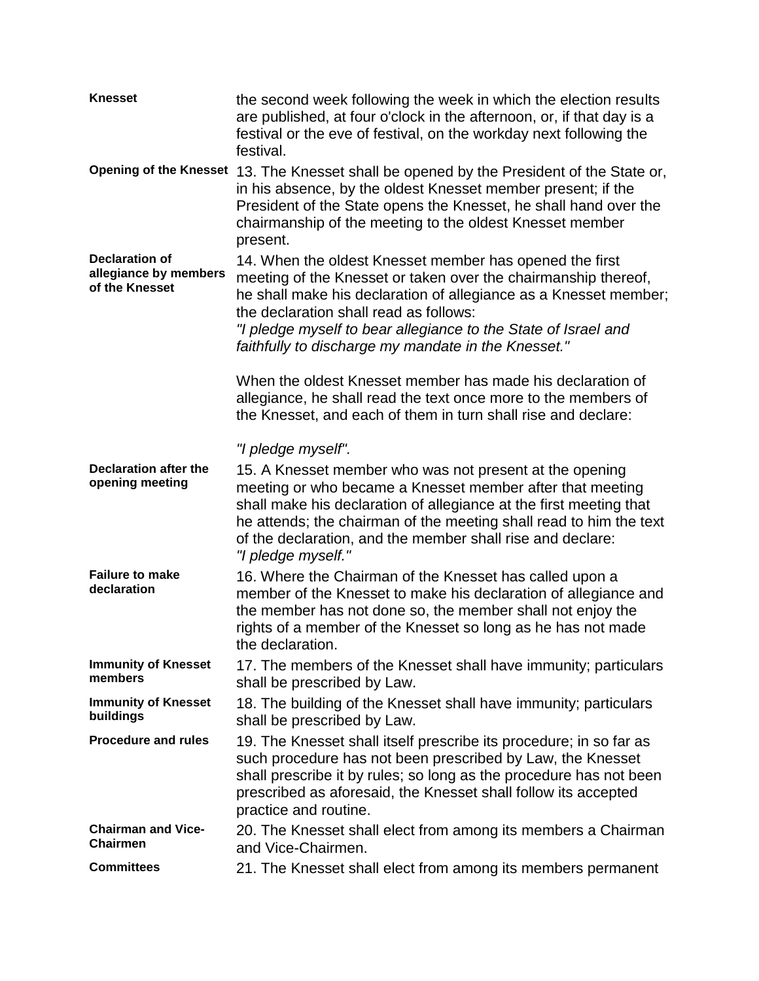| <b>Knesset</b>                                                   | the second week following the week in which the election results<br>are published, at four o'clock in the afternoon, or, if that day is a<br>festival or the eve of festival, on the workday next following the<br>festival.                                                                                                                                     |
|------------------------------------------------------------------|------------------------------------------------------------------------------------------------------------------------------------------------------------------------------------------------------------------------------------------------------------------------------------------------------------------------------------------------------------------|
|                                                                  | Opening of the Knesset 13. The Knesset shall be opened by the President of the State or,<br>in his absence, by the oldest Knesset member present; if the<br>President of the State opens the Knesset, he shall hand over the<br>chairmanship of the meeting to the oldest Knesset member<br>present.                                                             |
| <b>Declaration of</b><br>allegiance by members<br>of the Knesset | 14. When the oldest Knesset member has opened the first<br>meeting of the Knesset or taken over the chairmanship thereof,<br>he shall make his declaration of allegiance as a Knesset member;<br>the declaration shall read as follows:<br>"I pledge myself to bear allegiance to the State of Israel and<br>faithfully to discharge my mandate in the Knesset." |
|                                                                  | When the oldest Knesset member has made his declaration of<br>allegiance, he shall read the text once more to the members of<br>the Knesset, and each of them in turn shall rise and declare:                                                                                                                                                                    |
|                                                                  | "I pledge myself".                                                                                                                                                                                                                                                                                                                                               |
| <b>Declaration after the</b><br>opening meeting                  | 15. A Knesset member who was not present at the opening<br>meeting or who became a Knesset member after that meeting<br>shall make his declaration of allegiance at the first meeting that<br>he attends; the chairman of the meeting shall read to him the text<br>of the declaration, and the member shall rise and declare:<br>"I pledge myself."             |
| <b>Failure to make</b><br>declaration                            | 16. Where the Chairman of the Knesset has called upon a<br>member of the Knesset to make his declaration of allegiance and<br>the member has not done so, the member shall not enjoy the<br>rights of a member of the Knesset so long as he has not made<br>the declaration.                                                                                     |
| <b>Immunity of Knesset</b><br>members                            | 17. The members of the Knesset shall have immunity; particulars<br>shall be prescribed by Law.                                                                                                                                                                                                                                                                   |
| <b>Immunity of Knesset</b><br>buildings                          | 18. The building of the Knesset shall have immunity; particulars<br>shall be prescribed by Law.                                                                                                                                                                                                                                                                  |
| <b>Procedure and rules</b>                                       | 19. The Knesset shall itself prescribe its procedure; in so far as<br>such procedure has not been prescribed by Law, the Knesset<br>shall prescribe it by rules; so long as the procedure has not been<br>prescribed as aforesaid, the Knesset shall follow its accepted<br>practice and routine.                                                                |
| <b>Chairman and Vice-</b><br><b>Chairmen</b>                     | 20. The Knesset shall elect from among its members a Chairman<br>and Vice-Chairmen.                                                                                                                                                                                                                                                                              |
| <b>Committees</b>                                                | 21. The Knesset shall elect from among its members permanent                                                                                                                                                                                                                                                                                                     |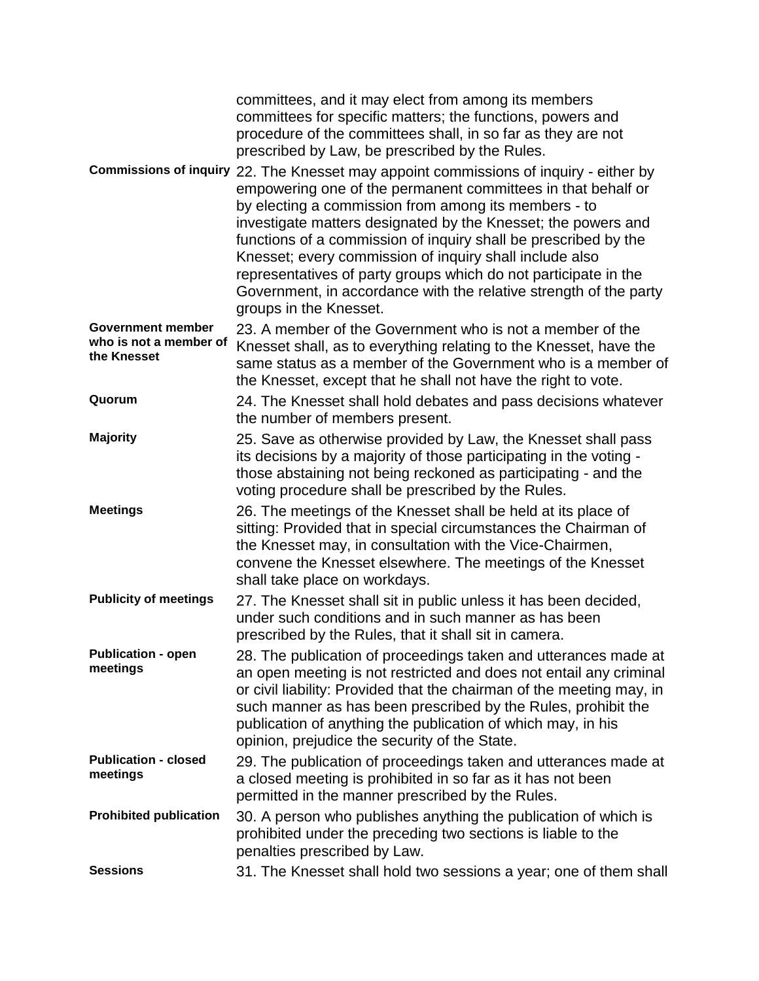|                                                                   | committees, and it may elect from among its members<br>committees for specific matters; the functions, powers and<br>procedure of the committees shall, in so far as they are not<br>prescribed by Law, be prescribed by the Rules.                                                                                                                                                                                                                                                                                                                                            |
|-------------------------------------------------------------------|--------------------------------------------------------------------------------------------------------------------------------------------------------------------------------------------------------------------------------------------------------------------------------------------------------------------------------------------------------------------------------------------------------------------------------------------------------------------------------------------------------------------------------------------------------------------------------|
|                                                                   | Commissions of inquiry 22. The Knesset may appoint commissions of inquiry - either by<br>empowering one of the permanent committees in that behalf or<br>by electing a commission from among its members - to<br>investigate matters designated by the Knesset; the powers and<br>functions of a commission of inquiry shall be prescribed by the<br>Knesset; every commission of inquiry shall include also<br>representatives of party groups which do not participate in the<br>Government, in accordance with the relative strength of the party<br>groups in the Knesset. |
| <b>Government member</b><br>who is not a member of<br>the Knesset | 23. A member of the Government who is not a member of the<br>Knesset shall, as to everything relating to the Knesset, have the<br>same status as a member of the Government who is a member of<br>the Knesset, except that he shall not have the right to vote.                                                                                                                                                                                                                                                                                                                |
| Quorum                                                            | 24. The Knesset shall hold debates and pass decisions whatever<br>the number of members present.                                                                                                                                                                                                                                                                                                                                                                                                                                                                               |
| <b>Majority</b>                                                   | 25. Save as otherwise provided by Law, the Knesset shall pass<br>its decisions by a majority of those participating in the voting -<br>those abstaining not being reckoned as participating - and the<br>voting procedure shall be prescribed by the Rules.                                                                                                                                                                                                                                                                                                                    |
| <b>Meetings</b>                                                   | 26. The meetings of the Knesset shall be held at its place of<br>sitting: Provided that in special circumstances the Chairman of<br>the Knesset may, in consultation with the Vice-Chairmen,<br>convene the Knesset elsewhere. The meetings of the Knesset<br>shall take place on workdays.                                                                                                                                                                                                                                                                                    |
| <b>Publicity of meetings</b>                                      | 27. The Knesset shall sit in public unless it has been decided,<br>under such conditions and in such manner as has been<br>prescribed by the Rules, that it shall sit in camera.                                                                                                                                                                                                                                                                                                                                                                                               |
| <b>Publication - open</b><br>meetings                             | 28. The publication of proceedings taken and utterances made at<br>an open meeting is not restricted and does not entail any criminal<br>or civil liability: Provided that the chairman of the meeting may, in<br>such manner as has been prescribed by the Rules, prohibit the<br>publication of anything the publication of which may, in his<br>opinion, prejudice the security of the State.                                                                                                                                                                               |
| <b>Publication - closed</b><br>meetings                           | 29. The publication of proceedings taken and utterances made at<br>a closed meeting is prohibited in so far as it has not been<br>permitted in the manner prescribed by the Rules.                                                                                                                                                                                                                                                                                                                                                                                             |
| <b>Prohibited publication</b>                                     | 30. A person who publishes anything the publication of which is<br>prohibited under the preceding two sections is liable to the<br>penalties prescribed by Law.                                                                                                                                                                                                                                                                                                                                                                                                                |
| <b>Sessions</b>                                                   | 31. The Knesset shall hold two sessions a year; one of them shall                                                                                                                                                                                                                                                                                                                                                                                                                                                                                                              |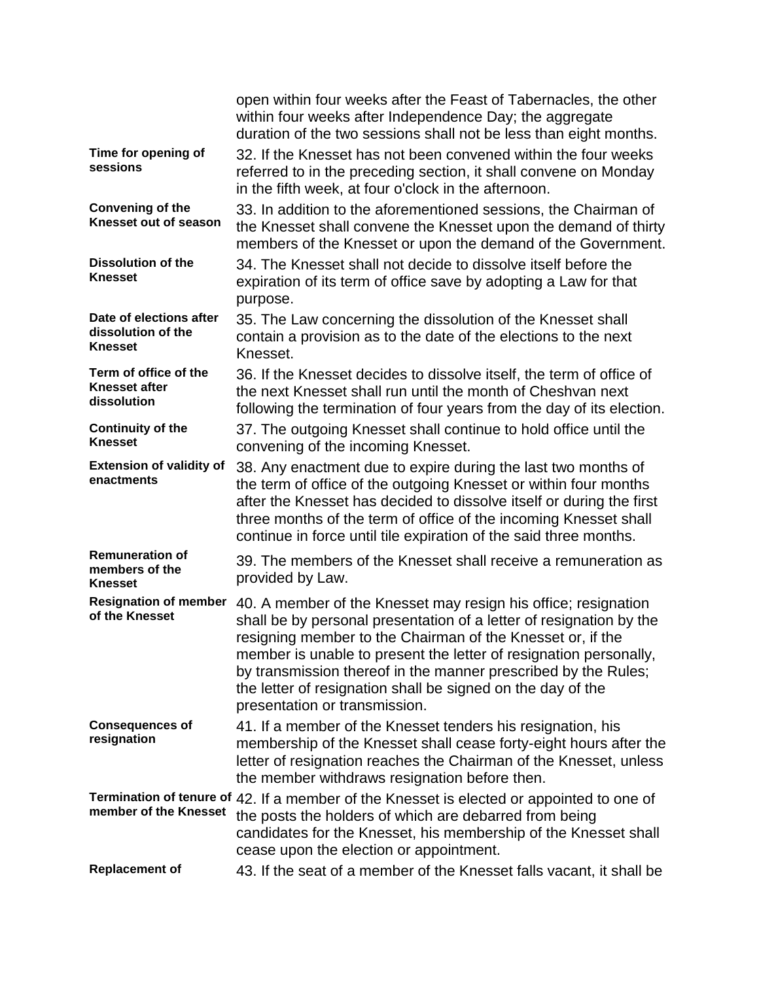|                                                                 | open within four weeks after the Feast of Tabernacles, the other<br>within four weeks after Independence Day; the aggregate<br>duration of the two sessions shall not be less than eight months.                                                                                                                                                                                                                                           |
|-----------------------------------------------------------------|--------------------------------------------------------------------------------------------------------------------------------------------------------------------------------------------------------------------------------------------------------------------------------------------------------------------------------------------------------------------------------------------------------------------------------------------|
| Time for opening of<br>sessions                                 | 32. If the Knesset has not been convened within the four weeks<br>referred to in the preceding section, it shall convene on Monday<br>in the fifth week, at four o'clock in the afternoon.                                                                                                                                                                                                                                                 |
| <b>Convening of the</b><br>Knesset out of season                | 33. In addition to the aforementioned sessions, the Chairman of<br>the Knesset shall convene the Knesset upon the demand of thirty<br>members of the Knesset or upon the demand of the Government.                                                                                                                                                                                                                                         |
| <b>Dissolution of the</b><br><b>Knesset</b>                     | 34. The Knesset shall not decide to dissolve itself before the<br>expiration of its term of office save by adopting a Law for that<br>purpose.                                                                                                                                                                                                                                                                                             |
| Date of elections after<br>dissolution of the<br><b>Knesset</b> | 35. The Law concerning the dissolution of the Knesset shall<br>contain a provision as to the date of the elections to the next<br>Knesset.                                                                                                                                                                                                                                                                                                 |
| Term of office of the<br><b>Knesset after</b><br>dissolution    | 36. If the Knesset decides to dissolve itself, the term of office of<br>the next Knesset shall run until the month of Cheshvan next<br>following the termination of four years from the day of its election.                                                                                                                                                                                                                               |
| <b>Continuity of the</b><br><b>Knesset</b>                      | 37. The outgoing Knesset shall continue to hold office until the<br>convening of the incoming Knesset.                                                                                                                                                                                                                                                                                                                                     |
| <b>Extension of validity of</b><br>enactments                   | 38. Any enactment due to expire during the last two months of<br>the term of office of the outgoing Knesset or within four months<br>after the Knesset has decided to dissolve itself or during the first<br>three months of the term of office of the incoming Knesset shall<br>continue in force until tile expiration of the said three months.                                                                                         |
| <b>Remuneration of</b><br>members of the<br><b>Knesset</b>      | 39. The members of the Knesset shall receive a remuneration as<br>provided by Law.                                                                                                                                                                                                                                                                                                                                                         |
| <b>Resignation of member</b><br>of the Knesset                  | 40. A member of the Knesset may resign his office; resignation<br>shall be by personal presentation of a letter of resignation by the<br>resigning member to the Chairman of the Knesset or, if the<br>member is unable to present the letter of resignation personally,<br>by transmission thereof in the manner prescribed by the Rules;<br>the letter of resignation shall be signed on the day of the<br>presentation or transmission. |
| <b>Consequences of</b><br>resignation                           | 41. If a member of the Knesset tenders his resignation, his<br>membership of the Knesset shall cease forty-eight hours after the<br>letter of resignation reaches the Chairman of the Knesset, unless<br>the member withdraws resignation before then.                                                                                                                                                                                     |
| member of the Knesset                                           | Termination of tenure of 42. If a member of the Knesset is elected or appointed to one of<br>the posts the holders of which are debarred from being<br>candidates for the Knesset, his membership of the Knesset shall<br>cease upon the election or appointment.                                                                                                                                                                          |
| <b>Replacement of</b>                                           | 43. If the seat of a member of the Knesset falls vacant, it shall be                                                                                                                                                                                                                                                                                                                                                                       |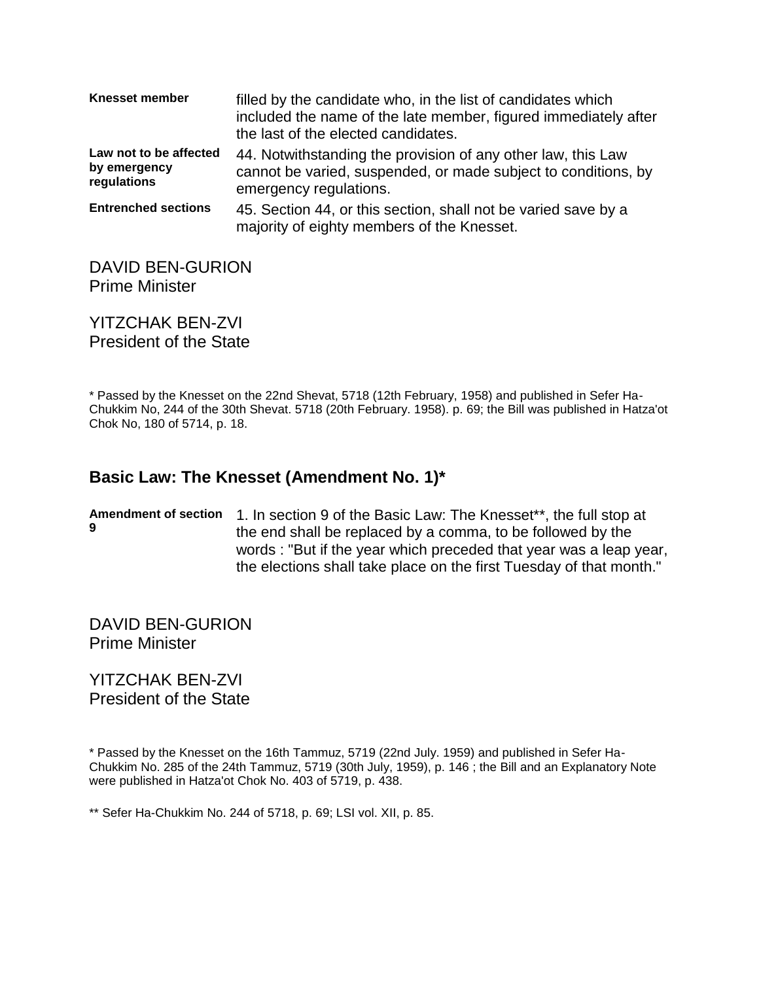| <b>Knesset member</b>                                 | filled by the candidate who, in the list of candidates which<br>included the name of the late member, figured immediately after<br>the last of the elected candidates. |
|-------------------------------------------------------|------------------------------------------------------------------------------------------------------------------------------------------------------------------------|
| Law not to be affected<br>by emergency<br>regulations | 44. Notwithstanding the provision of any other law, this Law<br>cannot be varied, suspended, or made subject to conditions, by<br>emergency regulations.               |
| <b>Entrenched sections</b>                            | 45. Section 44, or this section, shall not be varied save by a<br>majority of eighty members of the Knesset.                                                           |

#### DAVID BEN-GURION Prime Minister

YITZCHAK BEN-ZVI President of the State

\* Passed by the Knesset on the 22nd Shevat, 5718 (12th February, 1958) and published in Sefer Ha-Chukkim No, 244 of the 30th Shevat. 5718 (20th February. 1958). p. 69; the Bill was published in Hatza'ot Chok No, 180 of 5714, p. 18.

## **Basic Law: The Knesset (Amendment No. 1)\***

Amendment of section 1. In section 9 of the Basic Law: The Knesset\*\*, the full stop at **9** the end shall be replaced by a comma, to be followed by the words : "But if the year which preceded that year was a leap year, the elections shall take place on the first Tuesday of that month."

DAVID BEN-GURION Prime Minister

YITZCHAK BEN-ZVI President of the State

\* Passed by the Knesset on the 16th Tammuz, 5719 (22nd July. 1959) and published in Sefer Ha-Chukkim No. 285 of the 24th Tammuz, 5719 (30th July, 1959), p. 146 ; the Bill and an Explanatory Note were published in Hatza'ot Chok No. 403 of 5719, p. 438.

\*\* Sefer Ha-Chukkim No. 244 of 5718, p. 69; LSI vol. XII, p. 85.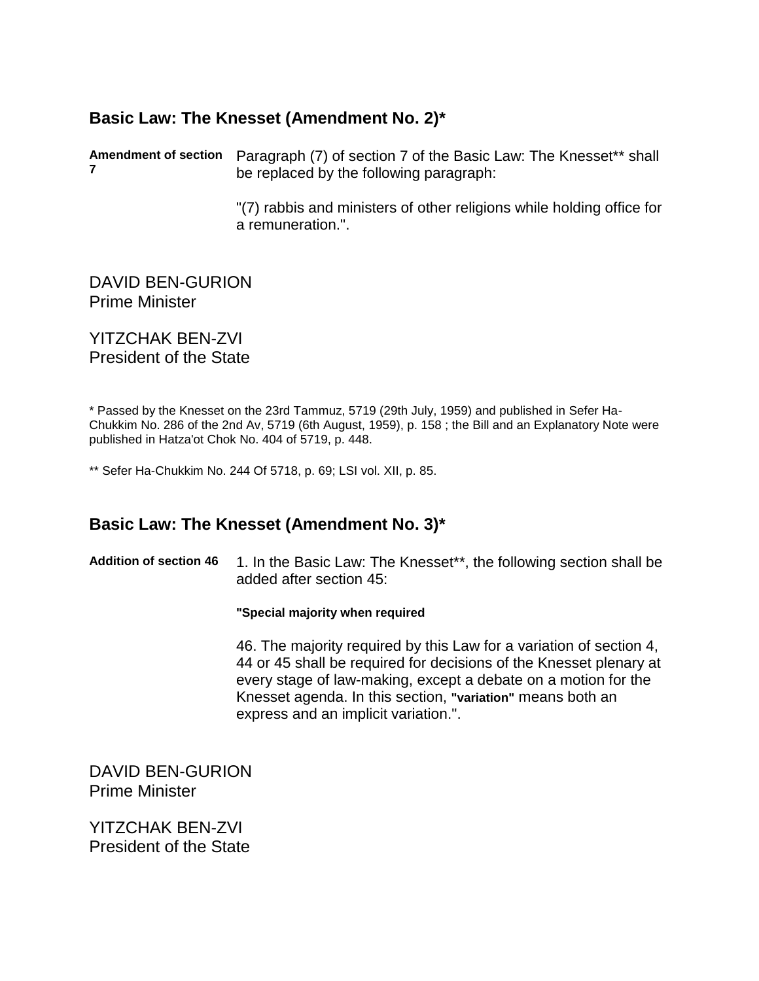## **Basic Law: The Knesset (Amendment No. 2)\***

**Amendment of section**  Paragraph (7) of section 7 of the Basic Law: The Knesset\*\* shall **7** be replaced by the following paragraph:

> "(7) rabbis and ministers of other religions while holding office for a remuneration.".

DAVID BEN-GURION Prime Minister

YITZCHAK BEN-ZVI President of the State

\* Passed by the Knesset on the 23rd Tammuz, 5719 (29th July, 1959) and published in Sefer Ha-Chukkim No. 286 of the 2nd Av, 5719 (6th August, 1959), p. 158 ; the Bill and an Explanatory Note were published in Hatza'ot Chok No. 404 of 5719, p. 448.

\*\* Sefer Ha-Chukkim No. 244 Of 5718, p. 69; LSI vol. XII, p. 85.

### **Basic Law: The Knesset (Amendment No. 3)\***

Addition of section 46 1. In the Basic Law: The Knesset\*\*, the following section shall be added after section 45:

**"Special majority when required**

46. The majority required by this Law for a variation of section 4, 44 or 45 shall be required for decisions of the Knesset plenary at every stage of law-making, except a debate on a motion for the Knesset agenda. In this section, **"variation"** means both an express and an implicit variation.".

DAVID BEN-GURION Prime Minister

YITZCHAK BEN-ZVI President of the State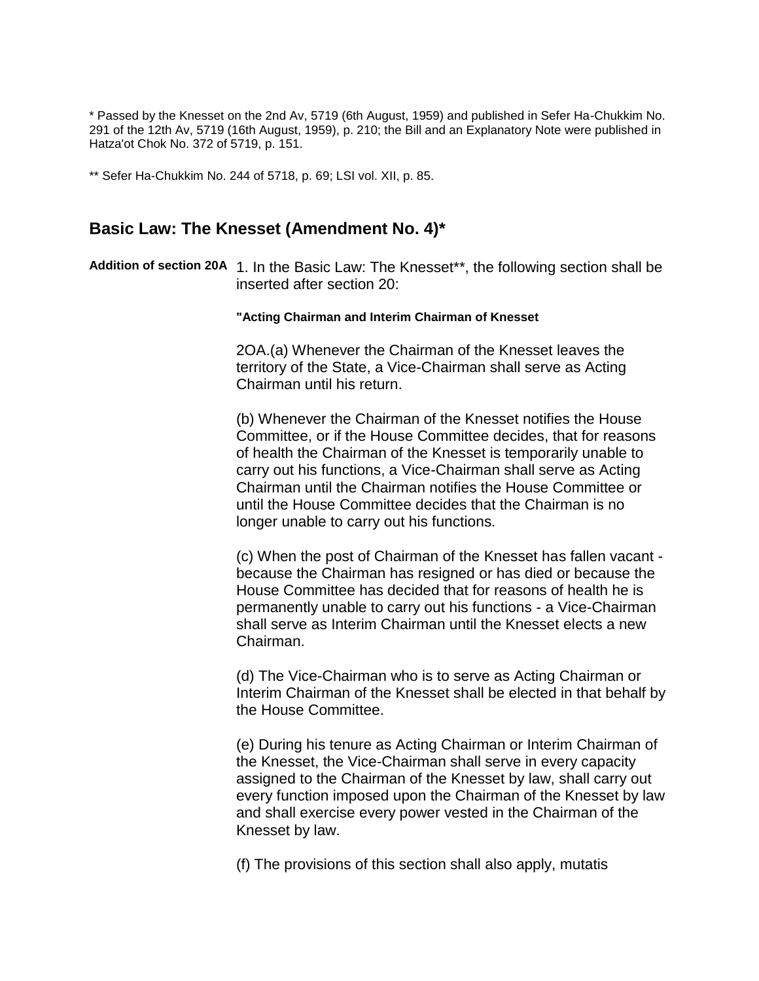\* Passed by the Knesset on the 2nd Av, 5719 (6th August, 1959) and published in Sefer Ha-Chukkim No. 291 of the 12th Av, 5719 (16th August, 1959), p. 210; the Bill and an Explanatory Note were published in Hatza'ot Chok No. 372 of 5719, p. 151.

\*\* Sefer Ha-Chukkim No. 244 of 5718, p. 69; LSI vol. XII, p. 85.

#### **Basic Law: The Knesset (Amendment No. 4)\***

**Addition of section 20A** 1. In the Basic Law: The Knesset\*\*, the following section shall be inserted after section 20:

#### **"Acting Chairman and Interim Chairman of Knesset**

2OA.(a) Whenever the Chairman of the Knesset leaves the territory of the State, a Vice-Chairman shall serve as Acting Chairman until his return.

(b) Whenever the Chairman of the Knesset notifies the House Committee, or if the House Committee decides, that for reasons of health the Chairman of the Knesset is temporarily unable to carry out his functions, a Vice-Chairman shall serve as Acting Chairman until the Chairman notifies the House Committee or until the House Committee decides that the Chairman is no longer unable to carry out his functions.

(c) When the post of Chairman of the Knesset has fallen vacant because the Chairman has resigned or has died or because the House Committee has decided that for reasons of health he is permanently unable to carry out his functions - a Vice-Chairman shall serve as Interim Chairman until the Knesset elects a new Chairman.

(d) The Vice-Chairman who is to serve as Acting Chairman or Interim Chairman of the Knesset shall be elected in that behalf by the House Committee.

(e) During his tenure as Acting Chairman or Interim Chairman of the Knesset, the Vice-Chairman shall serve in every capacity assigned to the Chairman of the Knesset by law, shall carry out every function imposed upon the Chairman of the Knesset by law and shall exercise every power vested in the Chairman of the Knesset by law.

(f) The provisions of this section shall also apply, mutatis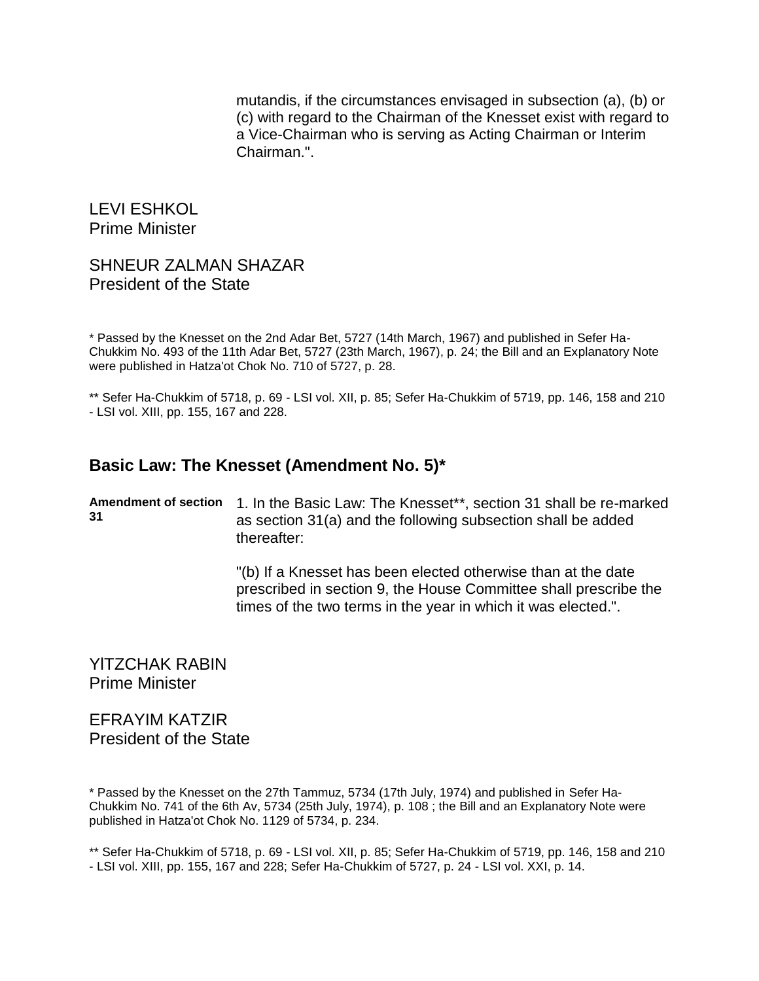mutandis, if the circumstances envisaged in subsection (a), (b) or (c) with regard to the Chairman of the Knesset exist with regard to a Vice-Chairman who is serving as Acting Chairman or Interim Chairman.".

LEVI ESHKOL Prime Minister

#### SHNEUR ZALMAN SHAZAR President of the State

\* Passed by the Knesset on the 2nd Adar Bet, 5727 (14th March, 1967) and published in Sefer Ha-Chukkim No. 493 of the 11th Adar Bet, 5727 (23th March, 1967), p. 24; the Bill and an Explanatory Note were published in Hatza'ot Chok No. 710 of 5727, p. 28.

\*\* Sefer Ha-Chukkim of 5718, p. 69 - LSI vol. XII, p. 85; Sefer Ha-Chukkim of 5719, pp. 146, 158 and 210 - LSI vol. XIII, pp. 155, 167 and 228.

### **Basic Law: The Knesset (Amendment No. 5)\***

**Amendment of section**  1. In the Basic Law: The Knesset\*\*, section 31 shall be re-marked **31** as section 31(a) and the following subsection shall be added thereafter:

> "(b) If a Knesset has been elected otherwise than at the date prescribed in section 9, the House Committee shall prescribe the times of the two terms in the year in which it was elected.".

YlTZCHAK RABIN Prime Minister

EFRAYIM KATZIR President of the State

\* Passed by the Knesset on the 27th Tammuz, 5734 (17th July, 1974) and published in Sefer Ha-Chukkim No. 741 of the 6th Av, 5734 (25th July, 1974), p. 108 ; the Bill and an Explanatory Note were published in Hatza'ot Chok No. 1129 of 5734, p. 234.

\*\* Sefer Ha-Chukkim of 5718, p. 69 - LSI vol. XII, p. 85; Sefer Ha-Chukkim of 5719, pp. 146, 158 and 210 - LSI vol. XIII, pp. 155, 167 and 228; Sefer Ha-Chukkim of 5727, p. 24 - LSI vol. XXI, p. 14.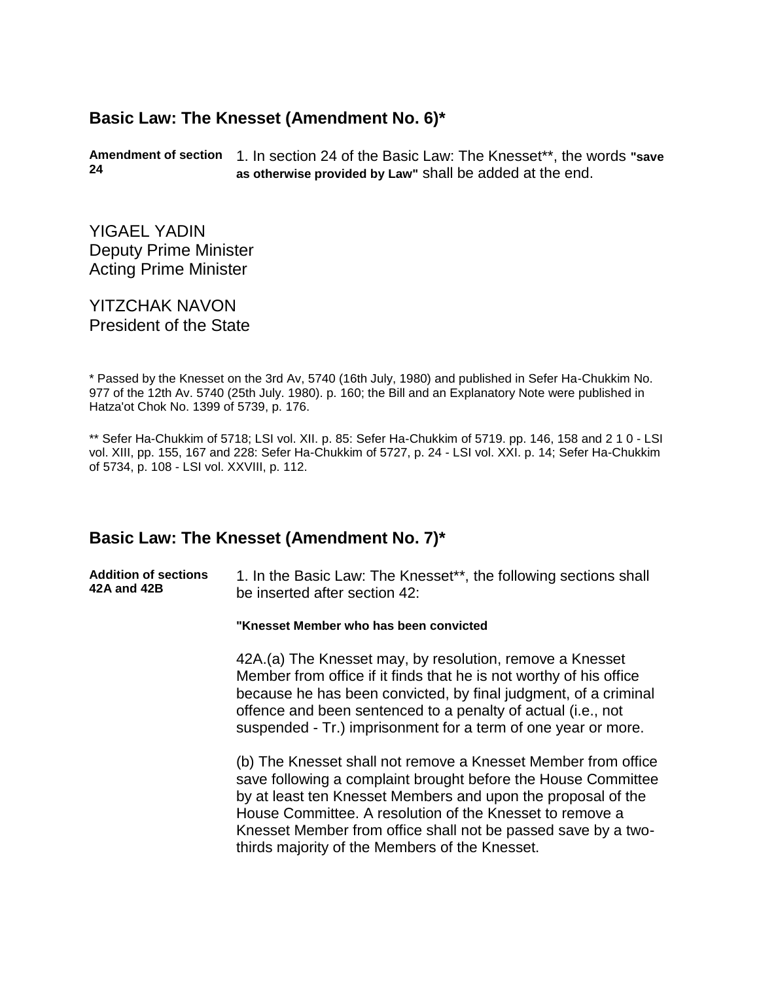## **Basic Law: The Knesset (Amendment No. 6)\***

**Amendment of section**  1. In section 24 of the Basic Law: The Knesset\*\*, the words **"save 24 as otherwise provided by Law"** shall be added at the end.

YIGAEL YADIN Deputy Prime Minister Acting Prime Minister

YITZCHAK NAVON President of the State

\* Passed by the Knesset on the 3rd Av, 5740 (16th July, 1980) and published in Sefer Ha-Chukkim No. 977 of the 12th Av. 5740 (25th July. 1980). p. 160; the Bill and an Explanatory Note were published in Hatza'ot Chok No. 1399 of 5739, p. 176.

\*\* Sefer Ha-Chukkim of 5718; LSI vol. XII. p. 85: Sefer Ha-Chukkim of 5719. pp. 146, 158 and 2 1 0 - LSI vol. XIII, pp. 155, 167 and 228: Sefer Ha-Chukkim of 5727, p. 24 - LSI vol. XXI. p. 14; Sefer Ha-Chukkim of 5734, p. 108 - LSI vol. XXVIII, p. 112.

#### **Basic Law: The Knesset (Amendment No. 7)\***

| <b>Addition of sections</b> | 1. In the Basic Law: The Knesset**, the following sections shall |
|-----------------------------|------------------------------------------------------------------|
| 42A and 42B                 | be inserted after section 42:                                    |
|                             |                                                                  |

**"Knesset Member who has been convicted**

42A.(a) The Knesset may, by resolution, remove a Knesset Member from office if it finds that he is not worthy of his office because he has been convicted, by final judgment, of a criminal offence and been sentenced to a penalty of actual (i.e., not suspended - Tr.) imprisonment for a term of one year or more.

(b) The Knesset shall not remove a Knesset Member from office save following a complaint brought before the House Committee by at least ten Knesset Members and upon the proposal of the House Committee. A resolution of the Knesset to remove a Knesset Member from office shall not be passed save by a twothirds majority of the Members of the Knesset.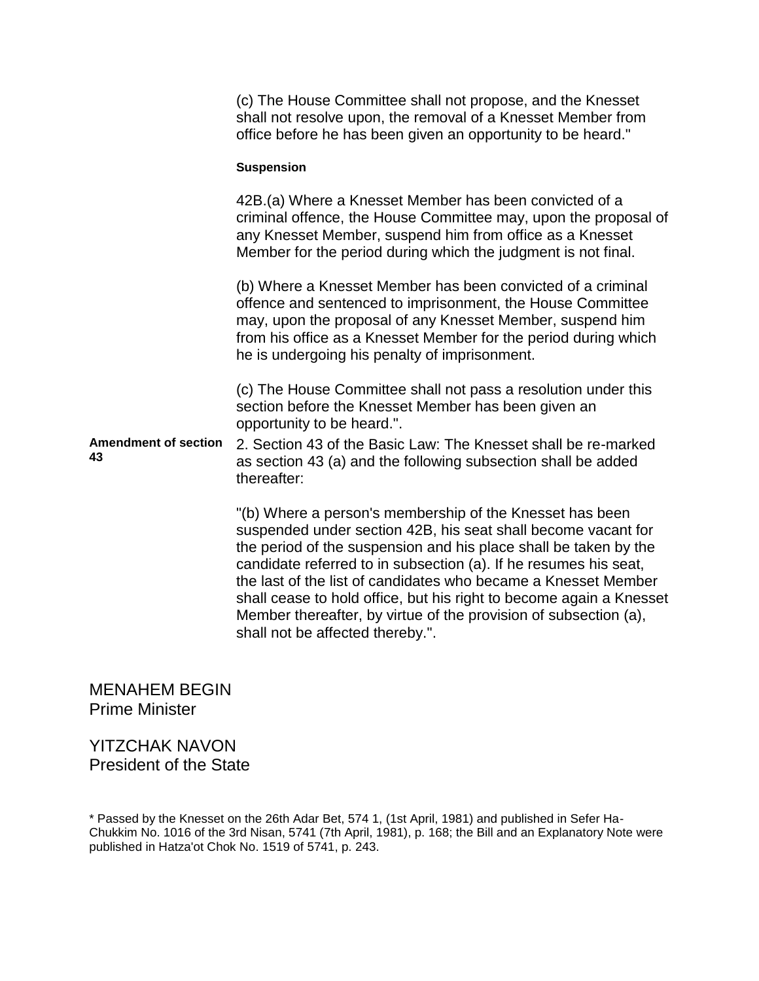(c) The House Committee shall not propose, and the Knesset shall not resolve upon, the removal of a Knesset Member from office before he has been given an opportunity to be heard."

#### **Suspension**

42B.(a) Where a Knesset Member has been convicted of a criminal offence, the House Committee may, upon the proposal of any Knesset Member, suspend him from office as a Knesset Member for the period during which the judgment is not final.

(b) Where a Knesset Member has been convicted of a criminal offence and sentenced to imprisonment, the House Committee may, upon the proposal of any Knesset Member, suspend him from his office as a Knesset Member for the period during which he is undergoing his penalty of imprisonment.

(c) The House Committee shall not pass a resolution under this section before the Knesset Member has been given an opportunity to be heard.".

**Amendment of section 43** 2. Section 43 of the Basic Law: The Knesset shall be re-marked as section 43 (a) and the following subsection shall be added thereafter:

> "(b) Where a person's membership of the Knesset has been suspended under section 42B, his seat shall become vacant for the period of the suspension and his place shall be taken by the candidate referred to in subsection (a). If he resumes his seat, the last of the list of candidates who became a Knesset Member shall cease to hold office, but his right to become again a Knesset Member thereafter, by virtue of the provision of subsection (a), shall not be affected thereby.".

MENAHEM BEGIN Prime Minister

YITZCHAK NAVON President of the State

\* Passed by the Knesset on the 26th Adar Bet, 574 1, (1st April, 1981) and published in Sefer Ha-Chukkim No. 1016 of the 3rd Nisan, 5741 (7th April, 1981), p. 168; the Bill and an Explanatory Note were published in Hatza'ot Chok No. 1519 of 5741, p. 243.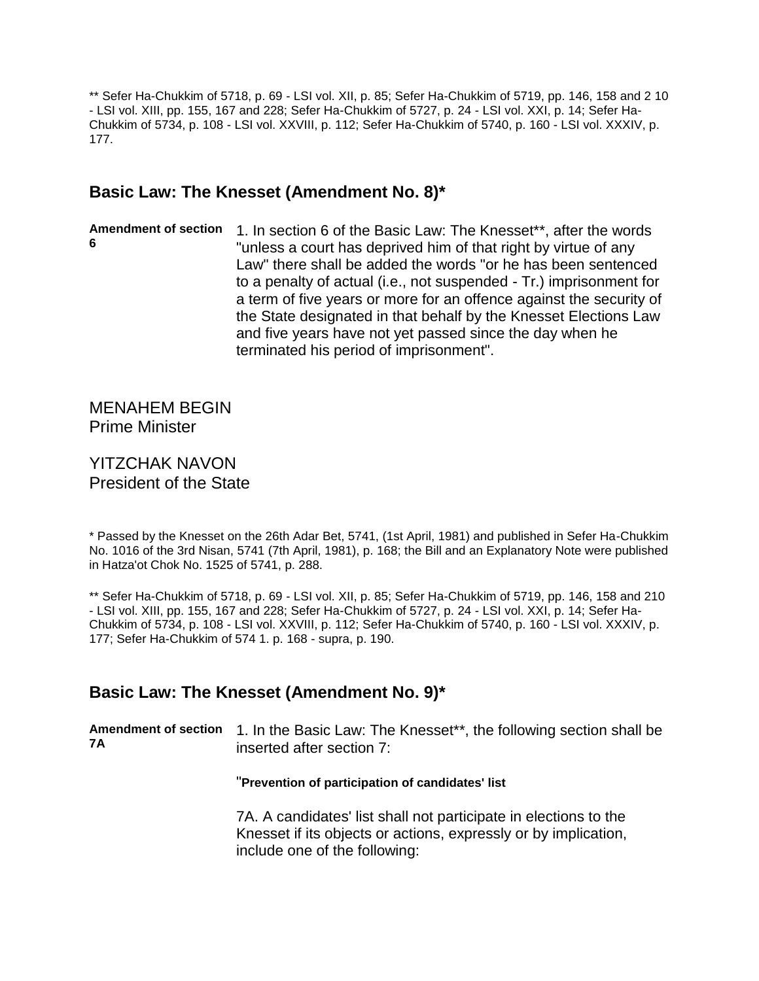\*\* Sefer Ha-Chukkim of 5718, p. 69 - LSI vol. XII, p. 85; Sefer Ha-Chukkim of 5719, pp. 146, 158 and 2 10 - LSI vol. XIII, pp. 155, 167 and 228; Sefer Ha-Chukkim of 5727, p. 24 - LSI vol. XXI, p. 14; Sefer Ha-Chukkim of 5734, p. 108 - LSI vol. XXVIII, p. 112; Sefer Ha-Chukkim of 5740, p. 160 - LSI vol. XXXIV, p. 177.

## **Basic Law: The Knesset (Amendment No. 8)\***

Amendment of section 1. In section 6 of the Basic Law: The Knesset\*\*, after the words **6** "unless a court has deprived him of that right by virtue of any Law" there shall be added the words "or he has been sentenced to a penalty of actual (i.e., not suspended - Tr.) imprisonment for a term of five years or more for an offence against the security of the State designated in that behalf by the Knesset Elections Law and five years have not yet passed since the day when he terminated his period of imprisonment".

MENAHEM BEGIN Prime Minister

YITZCHAK NAVON President of the State

\* Passed by the Knesset on the 26th Adar Bet, 5741, (1st April, 1981) and published in Sefer Ha-Chukkim No. 1016 of the 3rd Nisan, 5741 (7th April, 1981), p. 168; the Bill and an Explanatory Note were published in Hatza'ot Chok No. 1525 of 5741, p. 288.

\*\* Sefer Ha-Chukkim of 5718, p. 69 - LSI vol. XII, p. 85; Sefer Ha-Chukkim of 5719, pp. 146, 158 and 210 - LSI vol. XIII, pp. 155, 167 and 228; Sefer Ha-Chukkim of 5727, p. 24 - LSI vol. XXI, p. 14; Sefer Ha-Chukkim of 5734, p. 108 - LSI vol. XXVIII, p. 112; Sefer Ha-Chukkim of 5740, p. 160 - LSI vol. XXXIV, p. 177; Sefer Ha-Chukkim of 574 1. p. 168 - supra, p. 190.

### **Basic Law: The Knesset (Amendment No. 9)\***

**Amendment of section**  1. In the Basic Law: The Knesset\*\*, the following section shall be **7A** inserted after section 7:

#### "**Prevention of participation of candidates' list**

7A. A candidates' list shall not participate in elections to the Knesset if its objects or actions, expressly or by implication, include one of the following: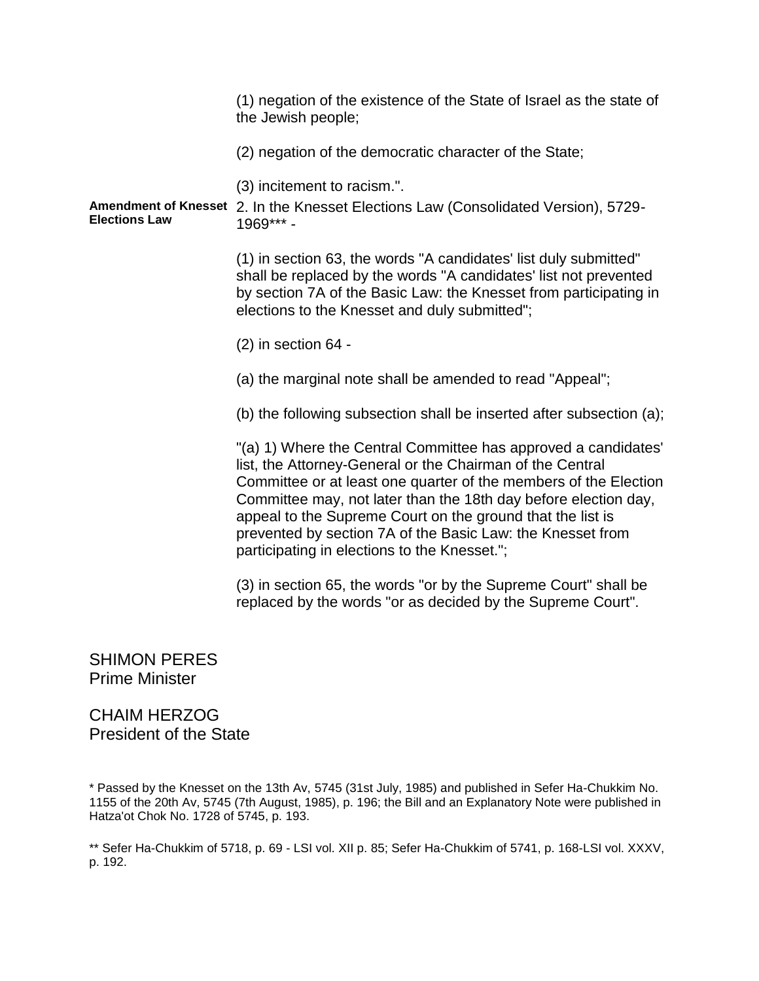(1) negation of the existence of the State of Israel as the state of the Jewish people; (2) negation of the democratic character of the State; (3) incitement to racism.". **Amendment of Knesset**  2. In the Knesset Elections Law (Consolidated Version), 5729- **Elections Law** 1969\*\*\* - (1) in section 63, the words "A candidates' list duly submitted" shall be replaced by the words "A candidates' list not prevented by section 7A of the Basic Law: the Knesset from participating in elections to the Knesset and duly submitted"; (2) in section 64 - (a) the marginal note shall be amended to read "Appeal"; (b) the following subsection shall be inserted after subsection (a); "(a) 1) Where the Central Committee has approved a candidates' list, the Attorney-General or the Chairman of the Central Committee or at least one quarter of the members of the Election Committee may, not later than the 18th day before election day, appeal to the Supreme Court on the ground that the list is prevented by section 7A of the Basic Law: the Knesset from participating in elections to the Knesset."; (3) in section 65, the words "or by the Supreme Court" shall be replaced by the words "or as decided by the Supreme Court".

SHIMON PERES Prime Minister

CHAIM HERZOG President of the State

\* Passed by the Knesset on the 13th Av, 5745 (31st July, 1985) and published in Sefer Ha-Chukkim No. 1155 of the 20th Av, 5745 (7th August, 1985), p. 196; the Bill and an Explanatory Note were published in Hatza'ot Chok No. 1728 of 5745, p. 193.

\*\* Sefer Ha-Chukkim of 5718, p. 69 - LSI vol. XII p. 85; Sefer Ha-Chukkim of 5741, p. 168-LSI vol. XXXV, p. 192.